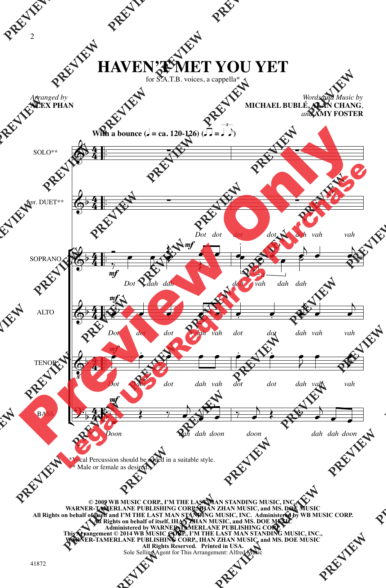## **HAVEN'T MET YOU YET**

for S.A.T.B. voices, a cappella\*



**© 2009 WB MUSIC CORP., I'M THE LAST MAN STANDING MUSIC, INC., WARNER-TAMERLANE PUBLISHING CORP., IHAN ZHAN MUSIC, and MS. DOE MUSIC All Rights on behalf of itself and I'M THE LAST MAN STANDING MUSIC, INC. Administered by WB MUSIC CORP. All Rights on behalf of itself, IHAN ZHAN MUSIC, and MS. DOE MUSIC Administered by WARNER-TAMERLANE PUBLISHING CORP. This Arrangement © 2014 WB MUSIC CORP., I'M THE LAST MAN STANDING MUSIC, INC., WARNER-TAMERLANE PUBLISHING CORP., IHAN ZHAN MUSIC, and MS. DOE MUSIC All Rights Reserved. Printed in USA.** Sole Selling Agent for This Arrangement: Alfred Music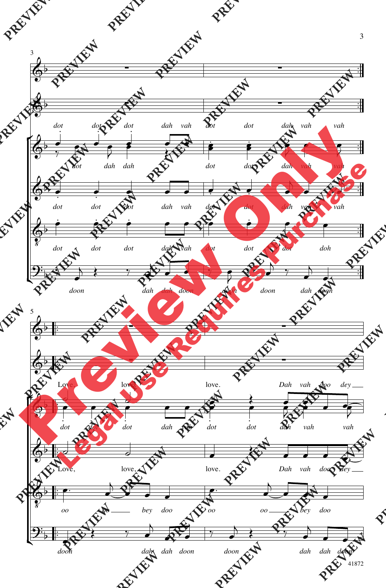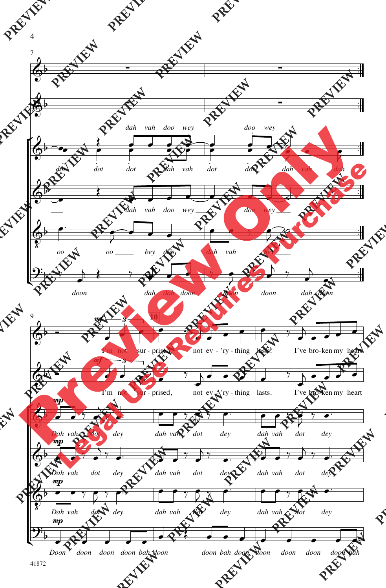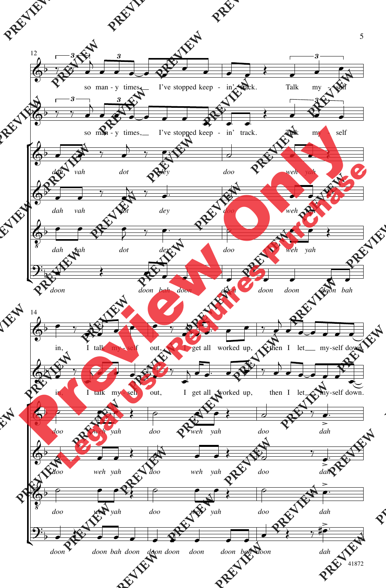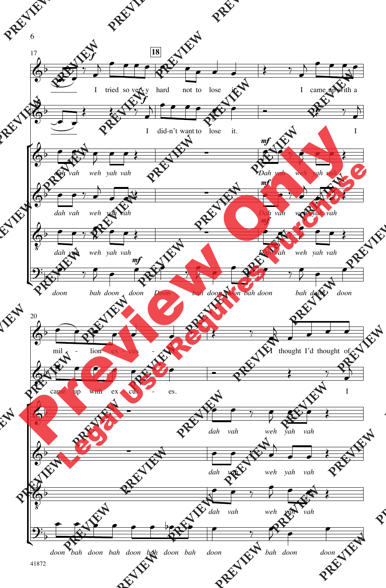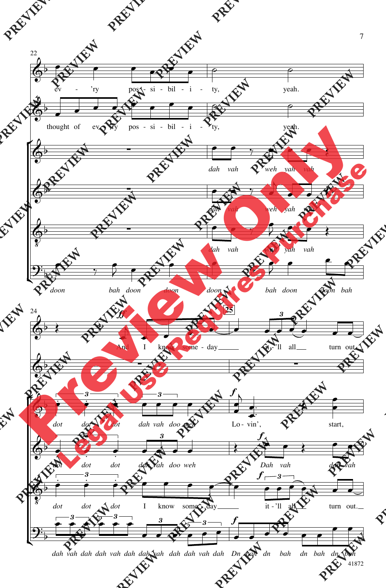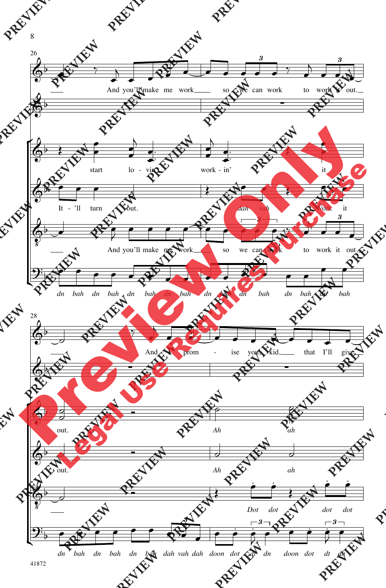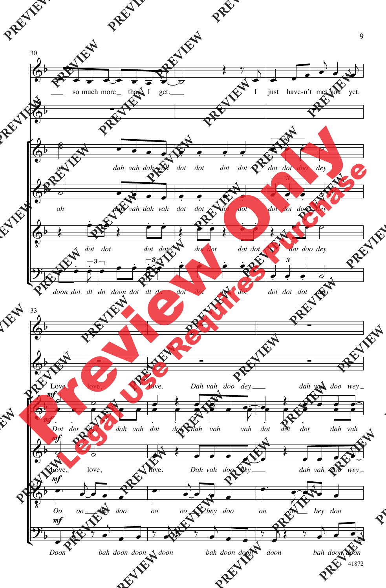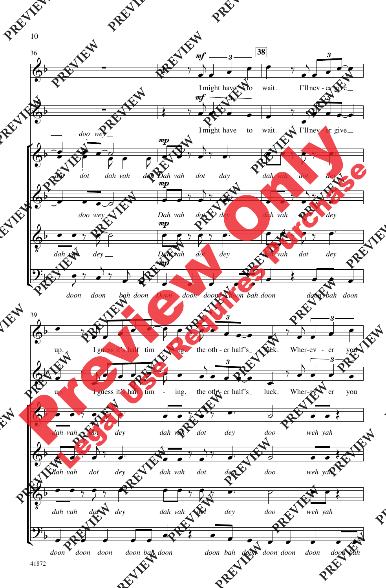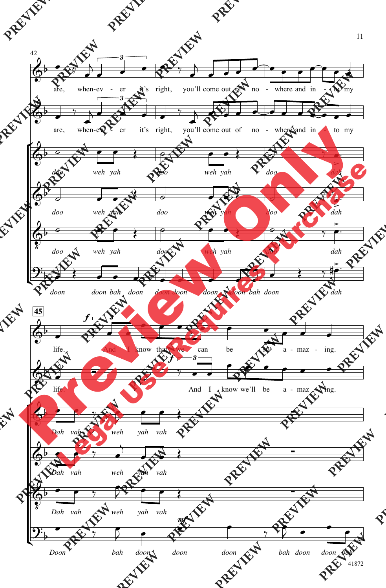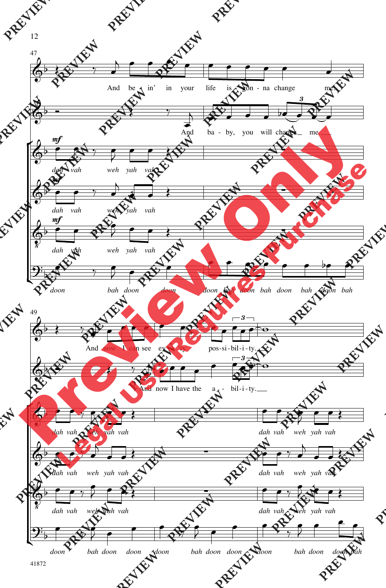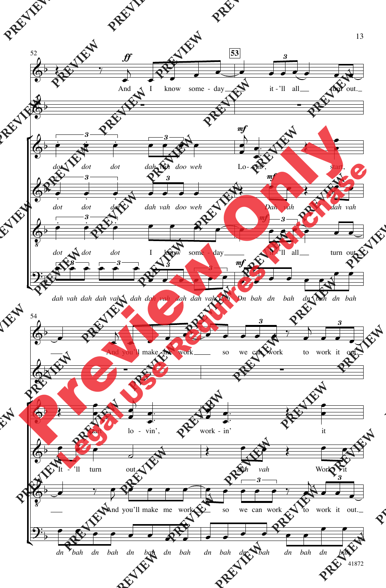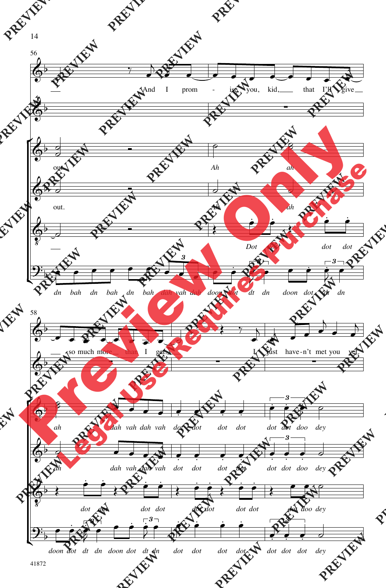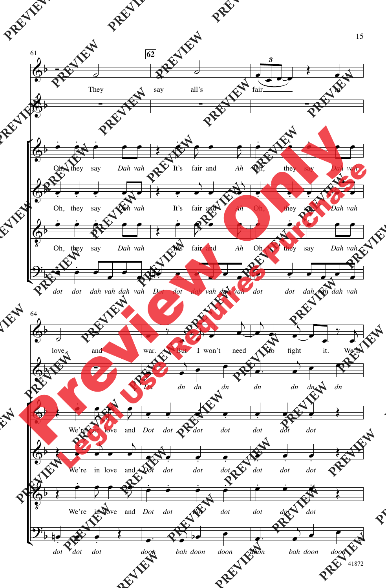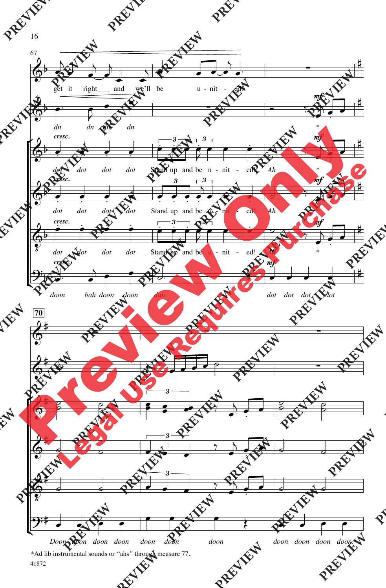

*\**Ad lib instrumental sounds or *"*ahs*"* through measure 77. 41872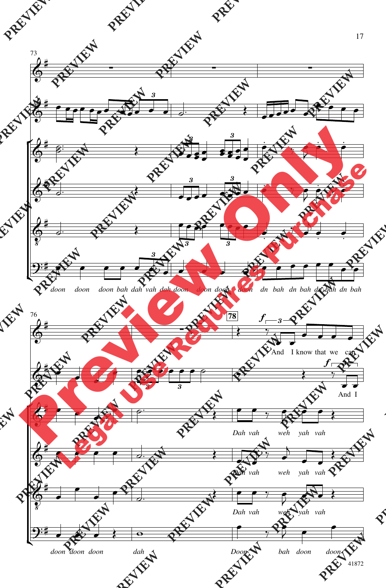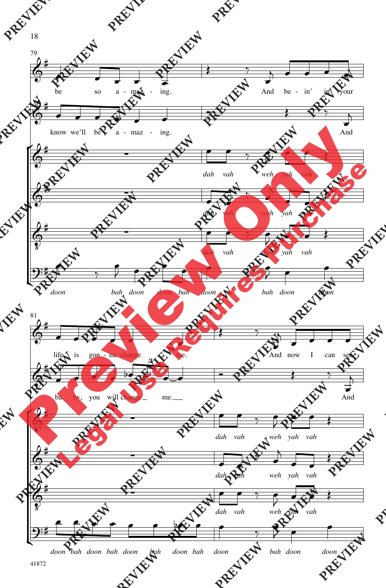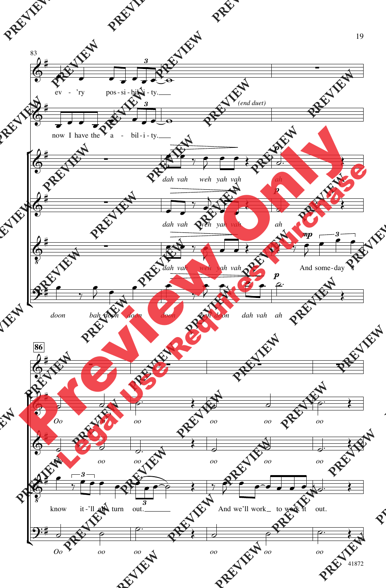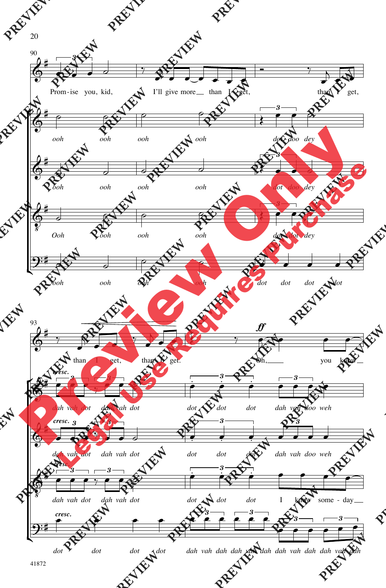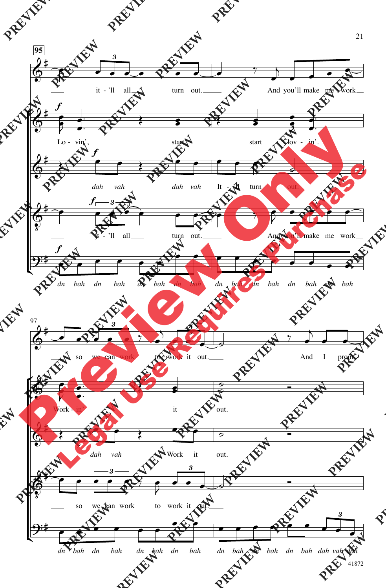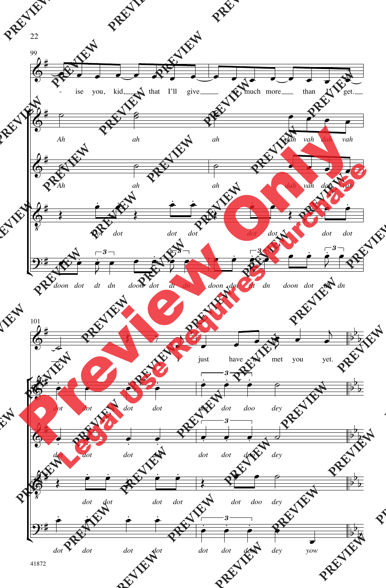

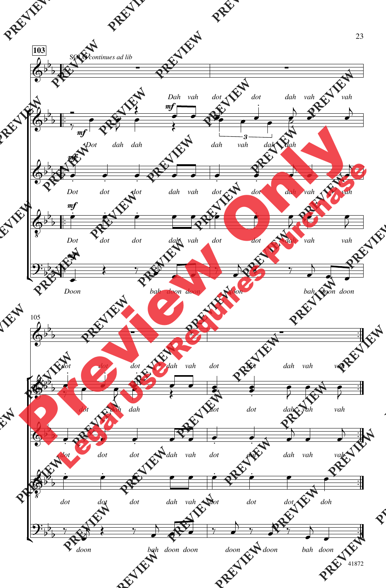